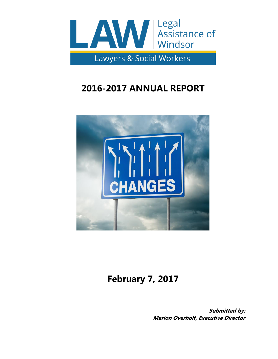

# **2016-2017 ANNUAL REPORT**



# **February 7, 2017**

**Submitted by: Marion Overholt, Executive Director**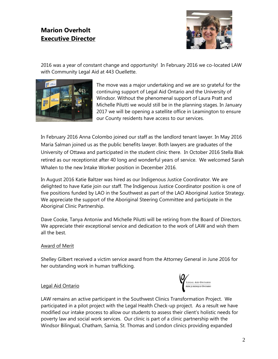# **Marion Overholt Executive Director**



2016 was a year of constant change and opportunity! In February 2016 we co-located LAW with Community Legal Aid at 443 Ouellette.



The move was a major undertaking and we are so grateful for the continuing support of Legal Aid Ontario and the University of Windsor. Without the phenomenal support of Laura Pratt and Michelle Pilutti we would still be in the planning stages. In January 2017 we will be opening a satellite office in Leamington to ensure our County residents have access to our services.

In February 2016 Anna Colombo joined our staff as the landlord tenant lawyer. In May 2016 Maria Salman joined us as the public benefits lawyer. Both lawyers are graduates of the University of Ottawa and participated in the student clinic there. In October 2016 Stella Blak retired as our receptionist after 40 long and wonderful years of service. We welcomed Sarah Whalen to the new Intake Worker position in December 2016.

In August 2016 Katie Baltzer was hired as our Indigenous Justice Coordinator. We are delighted to have Katie join our staff. The Indigenous Justice Coordinator position is one of five positions funded by LAO in the Southwest as part of the LAO Aboriginal Justice Strategy. We appreciate the support of the Aboriginal Steering Committee and participate in the Aboriginal Clinic Partnership.

Dave Cooke, Tanya Antoniw and Michelle Pilutti will be retiring from the Board of Directors. We appreciate their exceptional service and dedication to the work of LAW and wish them all the best.

### Award of Merit

Shelley Gilbert received a victim service award from the Attorney General in June 2016 for her outstanding work in human trafficking.

#### Legal Aid Ontario



LAW remains an active participant in the Southwest Clinics Transformation Project. We participated in a pilot project with the Legal Health Check-up project. As a result we have modified our intake process to allow our students to assess their client's holistic needs for poverty law and social work services. Our clinic is part of a clinic partnership with the Windsor Bilingual, Chatham, Sarnia, St. Thomas and London clinics providing expanded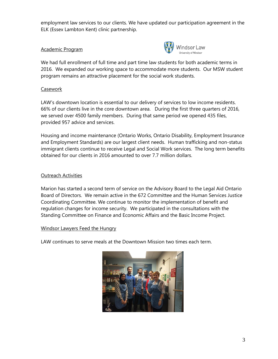employment law services to our clients. We have updated our participation agreement in the ELK (Essex Lambton Kent) clinic partnership.

#### Academic Program



We had full enrollment of full time and part time law students for both academic terms in 2016. We expanded our working space to accommodate more students. Our MSW student program remains an attractive placement for the social work students.

#### **Casework**

LAW's downtown location is essential to our delivery of services to low income residents. 66% of our clients live in the core downtown area. During the first three quarters of 2016, we served over 4500 family members. During that same period we opened 435 files, provided 957 advice and services.

Housing and income maintenance (Ontario Works, Ontario Disability, Employment Insurance and Employment Standards) are our largest client needs. Human trafficking and non-status immigrant clients continue to receive Legal and Social Work services. The long term benefits obtained for our clients in 2016 amounted to over 7.7 million dollars.

### Outreach Activities

Marion has started a second term of service on the Advisory Board to the Legal Aid Ontario Board of Directors. We remain active in the 672 Committee and the Human Services Justice Coordinating Committee. We continue to monitor the implementation of benefit and regulation changes for income security. We participated in the consultations with the Standing Committee on Finance and Economic Affairs and the Basic Income Project.

#### Windsor Lawyers Feed the Hungry

LAW continues to serve meals at the Downtown Mission two times each term.

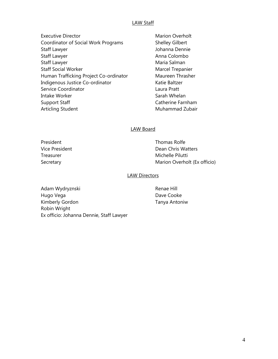#### LAW Staff

- Executive Director **Marion Overholt** Executive Director Coordinator of Social Work Programs Shelley Gilbert Staff Lawyer **Manual Staff Lawyer** Johanna Dennie Staff Lawyer **Anna Colombo Anna Colombo** Staff Lawyer **Maria Salman** Staff Social Worker Marcel Trepanier Human Trafficking Project Co-ordinator Maureen Thrasher Indigenous Justice Co-ordinator **Katie Baltzer** Service Coordinator **Laura Pratt** Intake Worker **Sarah Whelan** Sarah Whelan Support Staff Catherine Farnham Articling Student **Muhammad Zubair** Muhammad Zubair
	-

#### LAW Board

President **Thomas Rolfe** Vice President Dean Chris Watters Treasurer Michelle Pilutti Secretary **Marion Overholt (Ex officio)** Marion Overholt (Ex officio)

#### LAW Directors

Adam Wydryznski **Renae Hill** Hugo Vega **Dave Cooke** Dave Cooke Kimberly Gordon Tanya Antoniw Robin Wright Ex officio: Johanna Dennie, Staff Lawyer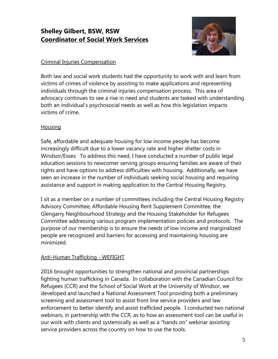# **Shelley Gilbert, BSW, RSW Coordinator of Social Work Services**



# Criminal Injuries Compensation

Both law and social work students had the opportunity to work with and learn from victims of crimes of violence by assisting to make applications and representing individuals through the criminal injuries compensation process. This area of advocacy continues to see a rise in need and students are tasked with understanding both an individual's psychosocial needs as well as how this legislation impacts victims of crime.

# **Housing**

Safe, affordable and adequate housing for low income people has become increasingly difficult due to a lower vacancy rate and higher shelter costs in Windsor/Essex. To address this need, I have conducted a number of public legal education sessions to newcomer serving groups ensuring families are aware of their rights and have options to address difficulties with housing. Additionally, we have seen an increase in the number of individuals seeking social housing and requiring assistance and support in making application to the Central Housing Registry.

I sit as a member on a number of committees including the Central Housing Registry Advisory Committee, Affordable Housing Rent Supplement Committee, the Glengarry Neighbourhood Strategy and the Housing Stakeholder for Refugees Committee addressing various program implementation policies and protocols. The purpose of our membership is to ensure the needs of low income and marginalized people are recognized and barriers for accessing and maintaining housing are minimized.

# Anti-Human Trafficking - WEFIGHT

2016 brought opportunities to strengthen national and provincial partnerships fighting human trafficking in Canada. In collaboration with the Canadian Council for Refugees (CCR) and the School of Social Work at the University of Windsor, we developed and launched a National Assessment Tool providing both a preliminary screening and assessment tool to assist front line service providers and law enforcement to better identify and assist trafficked people. I conducted two national webinars, in partnership with the CCR, as to how an assessment tool can be useful in our work with clients and systemically as well as a "hands on" webinar assisting service providers across the country on how to use the tools.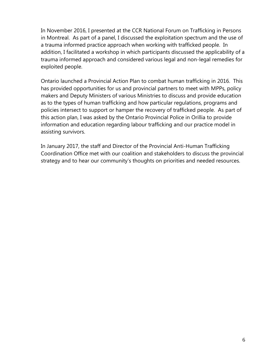In November 2016, I presented at the CCR National Forum on Trafficking in Persons in Montreal. As part of a panel, I discussed the exploitation spectrum and the use of a trauma informed practice approach when working with trafficked people. In addition, I facilitated a workshop in which participants discussed the applicability of a trauma informed approach and considered various legal and non-legal remedies for exploited people.

Ontario launched a Provincial Action Plan to combat human trafficking in 2016. This has provided opportunities for us and provincial partners to meet with MPPs, policy makers and Deputy Ministers of various Ministries to discuss and provide education as to the types of human trafficking and how particular regulations, programs and policies intersect to support or hamper the recovery of trafficked people. As part of this action plan, I was asked by the Ontario Provincial Police in Orillia to provide information and education regarding labour trafficking and our practice model in assisting survivors.

In January 2017, the staff and Director of the Provincial Anti-Human Trafficking Coordination Office met with our coalition and stakeholders to discuss the provincial strategy and to hear our community's thoughts on priorities and needed resources.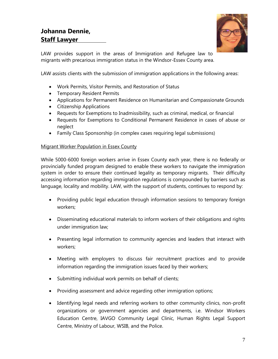

LAW provides support in the areas of Immigration and Refugee law to migrants with precarious immigration status in the Windsor-Essex County area.

LAW assists clients with the submission of immigration applications in the following areas:

- Work Permits, Visitor Permits, and Restoration of Status
- Temporary Resident Permits
- Applications for Permanent Residence on Humanitarian and Compassionate Grounds
- Citizenship Applications
- Requests for Exemptions to Inadmissibility, such as criminal, medical, or financial
- Requests for Exemptions to Conditional Permanent Residence in cases of abuse or neglect
- Family Class Sponsorship (in complex cases requiring legal submissions)

#### Migrant Worker Population in Essex County

While 5000-6000 foreign workers arrive in Essex County each year, there is no federally or provincially funded program designed to enable these workers to navigate the immigration system in order to ensure their continued legality as temporary migrants. Their difficulty accessing information regarding immigration regulations is compounded by barriers such as language, locality and mobility. LAW, with the support of students, continues to respond by:

- Providing public legal education through information sessions to temporary foreign workers;
- Disseminating educational materials to inform workers of their obligations and rights under immigration law;
- Presenting legal information to community agencies and leaders that interact with workers;
- Meeting with employers to discuss fair recruitment practices and to provide information regarding the immigration issues faced by their workers;
- Submitting individual work permits on behalf of clients;
- Providing assessment and advice regarding other immigration options;
- Identifying legal needs and referring workers to other community clinics, non-profit organizations or government agencies and departments, i.e. Windsor Workers Education Centre, IAVGO Community Legal Clinic, Human Rights Legal Support Centre, Ministry of Labour, WSIB, and the Police.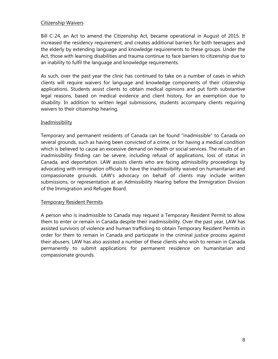#### Citizenship Waivers

Bill C-24, an Act to amend the Citizenship Act, became operational in August of 2015. It increased the residency requirement, and creates additional barriers for both teenagers and the elderly by extending language and knowledge requirements to these groups. Under the Act, those with learning disabilities and trauma continue to face barriers to citizenship due to an inability to fulfil the language and knowledge requirements.

As such, over the past year the clinic has continued to take on a number of cases in which clients will require waivers for language and knowledge components of their citizenship applications. Students assist clients to obtain medical opinions and put forth substantive legal reasons, based on medical evidence and client history, for an exemption due to disability. In addition to written legal submissions, students accompany clients requiring waivers to their citizenship hearing.

#### **Inadmissibility**

Temporary and permanent residents of Canada can be found "inadmissible" to Canada on several grounds, such as having been convicted of a crime, or for having a medical condition which is believed to cause an excessive demand on health or social services. The results of an inadmissibility finding can be severe, including refusal of applications, loss of status in Canada, and deportation. LAW assists clients who are facing admissibility proceedings by advocating with immigration officials to have the inadmissibility waived on humanitarian and compassionate grounds. LAW's advocacy on behalf of clients may include written submissions, or representation at an Admissibility Hearing before the Immigration Division of the Immigration and Refugee Board.

#### **Temporary Resident Permits**

A person who is inadmissible to Canada may request a Temporary Resident Permit to allow them to enter or remain in Canada despite their inadmissibility. Over the past year, LAW has assisted survivors of violence and human trafficking to obtain Temporary Resident Permits in order for them to remain in Canada and participate in the criminal justice process against their abusers. LAW has also assisted a number of these clients who wish to remain in Canada permanently to submit applications for permanent residence on humanitarian and compassionate grounds.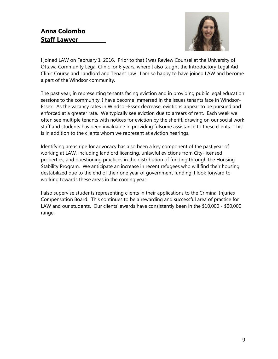# **Anna Colombo Staff Lawyer**



I joined LAW on February 1, 2016. Prior to that I was Review Counsel at the University of Ottawa Community Legal Clinic for 6 years, where I also taught the Introductory Legal Aid Clinic Course and Landlord and Tenant Law. I am so happy to have joined LAW and become a part of the Windsor community.

The past year, in representing tenants facing eviction and in providing public legal education sessions to the community, I have become immersed in the issues tenants face in Windsor-Essex. As the vacancy rates in Windsor-Essex decrease, evictions appear to be pursued and enforced at a greater rate. We typically see eviction due to arrears of rent. Each week we often see multiple tenants with notices for eviction by the sheriff; drawing on our social work staff and students has been invaluable in providing fulsome assistance to these clients. This is in addition to the clients whom we represent at eviction hearings.

Identifying areas ripe for advocacy has also been a key component of the past year of working at LAW, including landlord licencing, unlawful evictions from City-licensed properties, and questioning practices in the distribution of funding through the Housing Stability Program. We anticipate an increase in recent refugees who will find their housing destabilized due to the end of their one year of government funding. I look forward to working towards these areas in the coming year.

I also supervise students representing clients in their applications to the Criminal Injuries Compensation Board. This continues to be a rewarding and successful area of practice for LAW and our students. Our clients' awards have consistently been in the \$10,000 - \$20,000 range.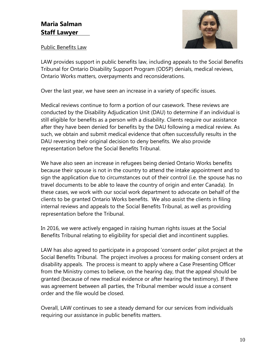

### Public Benefits Law

LAW provides support in public benefits law, including appeals to the Social Benefits Tribunal for Ontario Disability Support Program (ODSP) denials, medical reviews, Ontario Works matters, overpayments and reconsiderations.

Over the last year, we have seen an increase in a variety of specific issues.

Medical reviews continue to form a portion of our casework. These reviews are conducted by the Disability Adjudication Unit (DAU) to determine if an individual is still eligible for benefits as a person with a disability. Clients require our assistance after they have been denied for benefits by the DAU following a medical review. As such, we obtain and submit medical evidence that often successfully results in the DAU reversing their original decision to deny benefits. We also provide representation before the Social Benefits Tribunal.

We have also seen an increase in refugees being denied Ontario Works benefits because their spouse is not in the country to attend the intake appointment and to sign the application due to circumstances out of their control (i.e. the spouse has no travel documents to be able to leave the country of origin and enter Canada). In these cases, we work with our social work department to advocate on behalf of the clients to be granted Ontario Works benefits. We also assist the clients in filing internal reviews and appeals to the Social Benefits Tribunal, as well as providing representation before the Tribunal.

In 2016, we were actively engaged in raising human rights issues at the Social Benefits Tribunal relating to eligibility for special diet and incontinent supplies.

LAW has also agreed to participate in a proposed 'consent order' pilot project at the Social Benefits Tribunal. The project involves a process for making consent orders at disability appeals. The process is meant to apply where a Case Presenting Officer from the Ministry comes to believe, on the hearing day, that the appeal should be granted (because of new medical evidence or after hearing the testimony). If there was agreement between all parties, the Tribunal member would issue a consent order and the file would be closed.

Overall, LAW continues to see a steady demand for our services from individuals requiring our assistance in public benefits matters.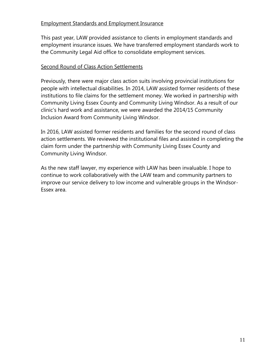# Employment Standards and Employment Insurance

This past year, LAW provided assistance to clients in employment standards and employment insurance issues. We have transferred employment standards work to the Community Legal Aid office to consolidate employment services.

# Second Round of Class Action Settlements

Previously, there were major class action suits involving provincial institutions for people with intellectual disabilities. In 2014, LAW assisted former residents of these institutions to file claims for the settlement money. We worked in partnership with Community Living Essex County and Community Living Windsor. As a result of our clinic's hard work and assistance, we were awarded the 2014/15 Community Inclusion Award from Community Living Windsor.

In 2016, LAW assisted former residents and families for the second round of class action settlements. We reviewed the institutional files and assisted in completing the claim form under the partnership with Community Living Essex County and Community Living Windsor.

As the new staff lawyer, my experience with LAW has been invaluable. I hope to continue to work collaboratively with the LAW team and community partners to improve our service delivery to low income and vulnerable groups in the Windsor-Essex area.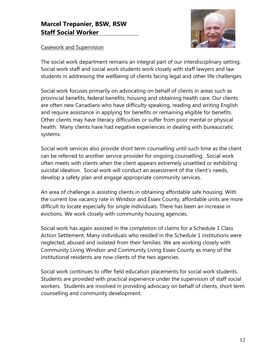# **Marcel Trepanier, BSW, RSW Staff Social Worker**



## Casework and Supervision

The social work department remains an integral part of our interdisciplinary setting. Social work staff and social work students work closely with staff lawyers and law students in addressing the wellbeing of clients facing legal and other life challenges.

Social work focuses primarily on advocating on behalf of clients in areas such as provincial benefits, federal benefits, housing and obtaining health care. Our clients are often new Canadians who have difficulty speaking, reading and writing English and require assistance in applying for benefits or remaining eligible for benefits. Other clients may have literacy difficulties or suffer from poor mental or physical health. Many clients have had negative experiences in dealing with bureaucratic systems.

Social work services also provide short term counselling until such time as the client can be referred to another service provider for ongoing counselling. Social work often meets with clients when the client appears extremely unsettled or exhibiting suicidal ideation. Social work will conduct an assessment of the client's needs, develop a safety plan and engage appropriate community services.

An area of challenge is assisting clients in obtaining affordable safe housing. With the current low vacancy rate in Windsor and Essex County, affordable units are more difficult to locate especially for single individuals. There has been an increase in evictions. We work closely with community housing agencies.

Social work has again assisted in the completion of claims for a Schedule 1 Class Action Settlement. Many individuals who resided in the Schedule 1 institutions were neglected, abused and isolated from their families. We are working closely with Community Living Windsor and Community Living Essex County as many of the institutional residents are now clients of the two agencies.

Social work continues to offer field education placements for social work students. Students are provided with practical experience under the supervision of staff social workers. Students are involved in providing advocacy on behalf of clients, short term counselling and community development.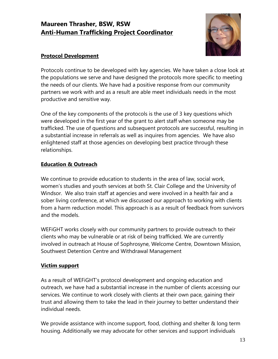# **Maureen Thrasher, BSW, RSW Anti-Human Trafficking Project Coordinator**



# **Protocol Development**

Protocols continue to be developed with key agencies. We have taken a close look at the populations we serve and have designed the protocols more specific to meeting the needs of our clients. We have had a positive response from our community partners we work with and as a result are able meet individuals needs in the most productive and sensitive way.

One of the key components of the protocols is the use of 3 key questions which were developed in the first year of the grant to alert staff when someone may be trafficked. The use of questions and subsequent protocols are successful, resulting in a substantial increase in referrals as well as inquires from agencies. We have also enlightened staff at those agencies on developing best practice through these relationships.

# **Education & Outreach**

We continue to provide education to students in the area of law, social work, women's studies and youth services at both St. Clair College and the University of Windsor. We also train staff at agencies and were involved in a health fair and a sober living conference, at which we discussed our approach to working with clients from a harm reduction model. This approach is as a result of feedback from survivors and the models.

WEFiGHT works closely with our community partners to provide outreach to their clients who may be vulnerable or at risk of being trafficked. We are currently involved in outreach at House of Sophrosyne, Welcome Centre, Downtown Mission, Southwest Detention Centre and Withdrawal Management

# **Victim support**

As a result of WEFiGHT's protocol development and ongoing education and outreach, we have had a substantial increase in the number of clients accessing our services. We continue to work closely with clients at their own pace, gaining their trust and allowing them to take the lead in their journey to better understand their individual needs.

We provide assistance with income support, food, clothing and shelter & long term housing. Additionally we may advocate for other services and support individuals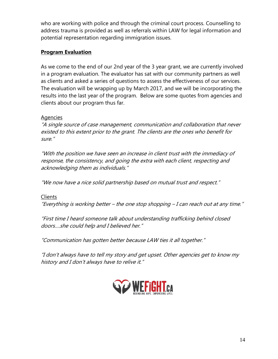who are working with police and through the criminal court process. Counselling to address trauma is provided as well as referrals within LAW for legal information and potential representation regarding immigration issues.

# **Program Evaluation**

As we come to the end of our 2nd year of the 3 year grant, we are currently involved in a program evaluation. The evaluator has sat with our community partners as well as clients and asked a series of questions to assess the effectiveness of our services. The evaluation will be wrapping up by March 2017, and we will be incorporating the results into the last year of the program. Below are some quotes from agencies and clients about our program thus far.

# Agencies

"A single source of case management, communication and collaboration that never existed to this extent prior to the grant. The clients are the ones who benefit for sure."

"With the position we have seen an increase in client trust with the immediacy of response, the consistency, and going the extra with each client, respecting and acknowledging them as individuals."

"We now have a nice solid partnership based on mutual trust and respect."

### **Clients**

"Everything is working better – the one stop shopping – I can reach out at any time."

"First time I heard someone talk about understanding trafficking behind closed doors….she could help and I believed her."

"Communication has gotten better because LAW ties it all together."

"I don't always have to tell my story and get upset. Other agencies get to know my history and I don't always have to relive it."

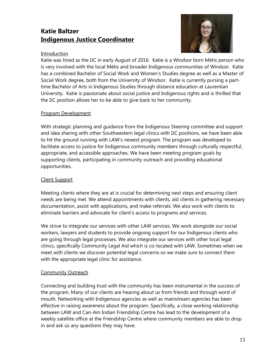# **Katie Baltzer Indigenous Justice Coordinator**



### Introduction

Katie was hired as the IJC in early August of 2016. Katie is a Windsor born Métis person who is very involved with the local Métis and broader Indigenous communities of Windsor. Katie has a combined Bachelor of Social Work and Women's Studies degree as well as a Master of Social Work degree, both from the University of Windsor. Katie is currently pursing a parttime Bachelor of Arts in Indigenous Studies through distance education at Laurentian University. Katie is passionate about social justice and Indigenous rights and is thrilled that the IJC position allows her to be able to give back to her community.

### Program Development

With strategic planning and guidance from the Indigenous Steering committee and support and idea sharing with other Southwestern legal clinics with IJC positions, we have been able to hit the ground running with LAW's newest program. The program was developed to facilitate access to justice for Indigenous community members through culturally respectful, appropriate, and accessible approaches. We have been meeting program goals by supporting clients, participating in community outreach and providing educational opportunities.

### Client Support

Meeting clients where they are at is crucial for determining next steps and ensuring client needs are being met. We attend appointments with clients, aid clients in gathering necessary documentation, assist with applications, and make referrals. We also work with clients to eliminate barriers and advocate for client's access to programs and services.

We strive to integrate our services with other LAW services. We work alongside our social workers, lawyers and students to provide ongoing support for our Indigenous clients who are going through legal processes. We also integrate our services with other local legal clinics, specifically Community Legal Aid which is co-located with LAW. Sometimes when we meet with clients we discover potential legal concerns so we make sure to connect them with the appropriate legal clinic for assistance.

### Community Outreach

Connecting and building trust with the community has been instrumental in the success of the program. Many of our clients are hearing about us from friends and through word of mouth. Networking with Indigenous agencies as well as mainstream agencies has been effective in raising awareness about the program. Specifically, a close working relationship between LAW and Can-Am Indian Friendship Centre has lead to the development of a weekly satellite office at the Friendship Centre where community members are able to drop in and ask us any questions they may have.